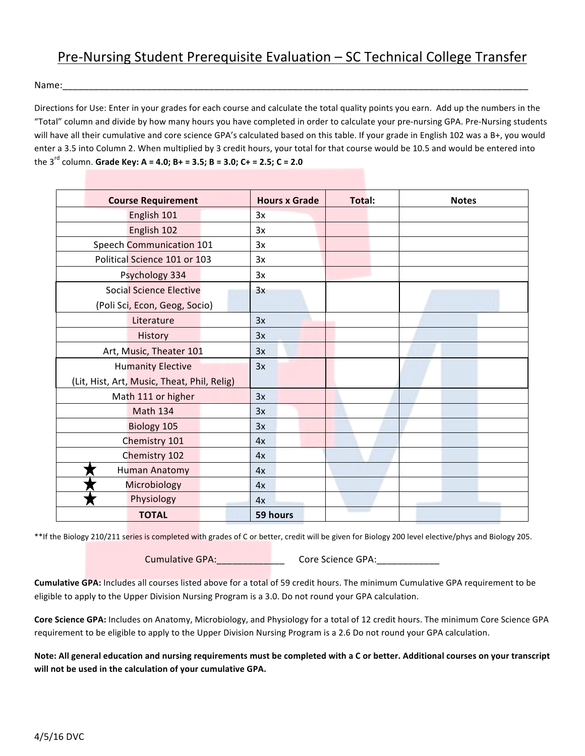## Pre-Nursing Student Prerequisite Evaluation – SC Technical College Transfer

Name:

Directions for Use: Enter in your grades for each course and calculate the total quality points you earn. Add up the numbers in the "Total" column and divide by how many hours you have completed in order to calculate your pre-nursing GPA. Pre-Nursing students will have all their cumulative and core science GPA's calculated based on this table. If your grade in English 102 was a B+, you would enter a 3.5 into Column 2. When multiplied by 3 credit hours, your total for that course would be 10.5 and would be entered into the  $3^{rd}$  column. Grade Key: A = 4.0; B+ = 3.5; B = 3.0; C+ = 2.5; C = 2.0

| <b>Course Requirement</b>                   |  | <b>Hours x Grade</b> |          | Total: |  | <b>Notes</b> |  |  |
|---------------------------------------------|--|----------------------|----------|--------|--|--------------|--|--|
| English 101                                 |  | 3x                   |          |        |  |              |  |  |
| English 102                                 |  |                      | 3x       |        |  |              |  |  |
| Speech Communication 101                    |  | 3x                   |          |        |  |              |  |  |
| Political Science 101 or 103                |  | 3x                   |          |        |  |              |  |  |
| Psychology 334                              |  |                      | 3x       |        |  |              |  |  |
| <b>Social Science Elective</b>              |  |                      | 3x       |        |  |              |  |  |
| (Poli Sci, Econ, Geog, Socio)               |  |                      |          |        |  |              |  |  |
| Literature                                  |  |                      | 3x       |        |  |              |  |  |
| History                                     |  |                      | 3x       |        |  |              |  |  |
| Art, Music, Theater 101                     |  | 3x                   |          |        |  |              |  |  |
| <b>Humanity Elective</b>                    |  | 3x                   |          |        |  |              |  |  |
| (Lit, Hist, Art, Music, Theat, Phil, Relig) |  |                      |          |        |  |              |  |  |
| Math 111 or higher                          |  | 3x                   |          |        |  |              |  |  |
| <b>Math 134</b>                             |  |                      | 3x       |        |  |              |  |  |
| Biology 105                                 |  |                      | 3x       |        |  |              |  |  |
| Chemistry 101                               |  | 4x                   |          |        |  |              |  |  |
| Chemistry 102                               |  | 4x                   |          |        |  |              |  |  |
| <b>Human Anatomy</b>                        |  |                      | 4x       |        |  |              |  |  |
| Microbiology                                |  | 4x                   |          |        |  |              |  |  |
| Physiology                                  |  |                      | 4x       |        |  |              |  |  |
| <b>TOTAL</b>                                |  |                      | 59 hours |        |  |              |  |  |

\*\*If the Biology 210/211 series is completed with grades of C or better, credit will be given for Biology 200 level elective/phys and Biology 205.

Cumulative GPA:\_\_\_\_\_\_\_\_\_\_\_\_\_ Core Science GPA:\_\_\_\_\_\_\_\_\_\_\_\_

Cumulative GPA: Includes all courses listed above for a total of 59 credit hours. The minimum Cumulative GPA requirement to be eligible to apply to the Upper Division Nursing Program is a 3.0. Do not round your GPA calculation.

**Core Science GPA:** Includes on Anatomy, Microbiology, and Physiology for a total of 12 credit hours. The minimum Core Science GPA requirement to be eligible to apply to the Upper Division Nursing Program is a 2.6 Do not round your GPA calculation.

Note: All general education and nursing requirements must be completed with a C or better. Additional courses on your transcript will not be used in the calculation of your cumulative GPA.